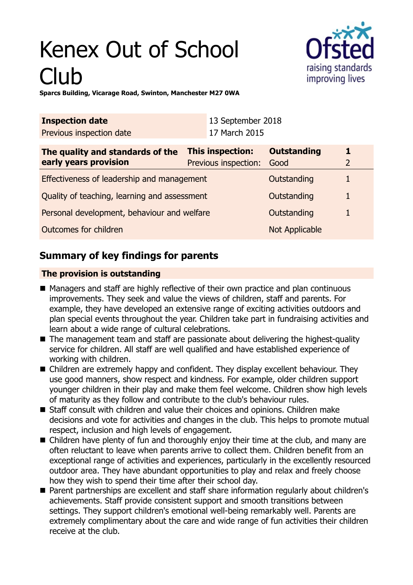# Kenex Out of School Club



**Sparcs Building, Vicarage Road, Swinton, Manchester M27 0WA**

| <b>Inspection date</b><br>Previous inspection date        |                                                 | 13 September 2018<br>17 March 2015 |                            |   |
|-----------------------------------------------------------|-------------------------------------------------|------------------------------------|----------------------------|---|
| The quality and standards of the<br>early years provision | <b>This inspection:</b><br>Previous inspection: |                                    | <b>Outstanding</b><br>Good | 2 |
| Effectiveness of leadership and management                |                                                 |                                    | Outstanding                |   |
| Quality of teaching, learning and assessment              |                                                 |                                    | Outstanding                | 1 |
| Personal development, behaviour and welfare               |                                                 |                                    | Outstanding                |   |
| Outcomes for children                                     |                                                 |                                    | Not Applicable             |   |

## **Summary of key findings for parents**

## **The provision is outstanding**

- Managers and staff are highly reflective of their own practice and plan continuous improvements. They seek and value the views of children, staff and parents. For example, they have developed an extensive range of exciting activities outdoors and plan special events throughout the year. Children take part in fundraising activities and learn about a wide range of cultural celebrations.
- $\blacksquare$  The management team and staff are passionate about delivering the highest-quality service for children. All staff are well qualified and have established experience of working with children.
- Children are extremely happy and confident. They display excellent behaviour. They use good manners, show respect and kindness. For example, older children support younger children in their play and make them feel welcome. Children show high levels of maturity as they follow and contribute to the club's behaviour rules.
- Staff consult with children and value their choices and opinions. Children make decisions and vote for activities and changes in the club. This helps to promote mutual respect, inclusion and high levels of engagement.
- $\blacksquare$  Children have plenty of fun and thoroughly enjoy their time at the club, and many are often reluctant to leave when parents arrive to collect them. Children benefit from an exceptional range of activities and experiences, particularly in the excellently resourced outdoor area. They have abundant opportunities to play and relax and freely choose how they wish to spend their time after their school day.
- Parent partnerships are excellent and staff share information regularly about children's achievements. Staff provide consistent support and smooth transitions between settings. They support children's emotional well-being remarkably well. Parents are extremely complimentary about the care and wide range of fun activities their children receive at the club.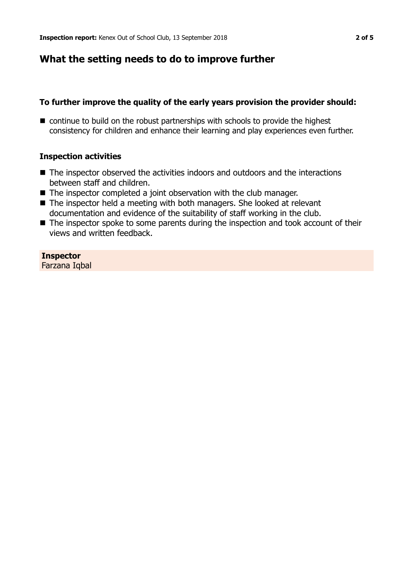## **What the setting needs to do to improve further**

#### **To further improve the quality of the early years provision the provider should:**

 $\blacksquare$  continue to build on the robust partnerships with schools to provide the highest consistency for children and enhance their learning and play experiences even further.

#### **Inspection activities**

- $\blacksquare$  The inspector observed the activities indoors and outdoors and the interactions between staff and children.
- The inspector completed a joint observation with the club manager.
- The inspector held a meeting with both managers. She looked at relevant documentation and evidence of the suitability of staff working in the club.
- $\blacksquare$  The inspector spoke to some parents during the inspection and took account of their views and written feedback.

**Inspector** Farzana Iqbal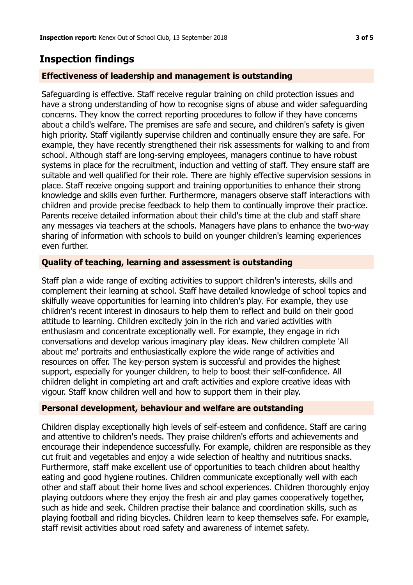## **Inspection findings**

#### **Effectiveness of leadership and management is outstanding**

Safeguarding is effective. Staff receive regular training on child protection issues and have a strong understanding of how to recognise signs of abuse and wider safeguarding concerns. They know the correct reporting procedures to follow if they have concerns about a child's welfare. The premises are safe and secure, and children's safety is given high priority. Staff vigilantly supervise children and continually ensure they are safe. For example, they have recently strengthened their risk assessments for walking to and from school. Although staff are long-serving employees, managers continue to have robust systems in place for the recruitment, induction and vetting of staff. They ensure staff are suitable and well qualified for their role. There are highly effective supervision sessions in place. Staff receive ongoing support and training opportunities to enhance their strong knowledge and skills even further. Furthermore, managers observe staff interactions with children and provide precise feedback to help them to continually improve their practice. Parents receive detailed information about their child's time at the club and staff share any messages via teachers at the schools. Managers have plans to enhance the two-way sharing of information with schools to build on younger children's learning experiences even further.

### **Quality of teaching, learning and assessment is outstanding**

Staff plan a wide range of exciting activities to support children's interests, skills and complement their learning at school. Staff have detailed knowledge of school topics and skilfully weave opportunities for learning into children's play. For example, they use children's recent interest in dinosaurs to help them to reflect and build on their good attitude to learning. Children excitedly join in the rich and varied activities with enthusiasm and concentrate exceptionally well. For example, they engage in rich conversations and develop various imaginary play ideas. New children complete 'All about me' portraits and enthusiastically explore the wide range of activities and resources on offer. The key-person system is successful and provides the highest support, especially for younger children, to help to boost their self-confidence. All children delight in completing art and craft activities and explore creative ideas with vigour. Staff know children well and how to support them in their play.

#### **Personal development, behaviour and welfare are outstanding**

Children display exceptionally high levels of self-esteem and confidence. Staff are caring and attentive to children's needs. They praise children's efforts and achievements and encourage their independence successfully. For example, children are responsible as they cut fruit and vegetables and enjoy a wide selection of healthy and nutritious snacks. Furthermore, staff make excellent use of opportunities to teach children about healthy eating and good hygiene routines. Children communicate exceptionally well with each other and staff about their home lives and school experiences. Children thoroughly enjoy playing outdoors where they enjoy the fresh air and play games cooperatively together, such as hide and seek. Children practise their balance and coordination skills, such as playing football and riding bicycles. Children learn to keep themselves safe. For example, staff revisit activities about road safety and awareness of internet safety.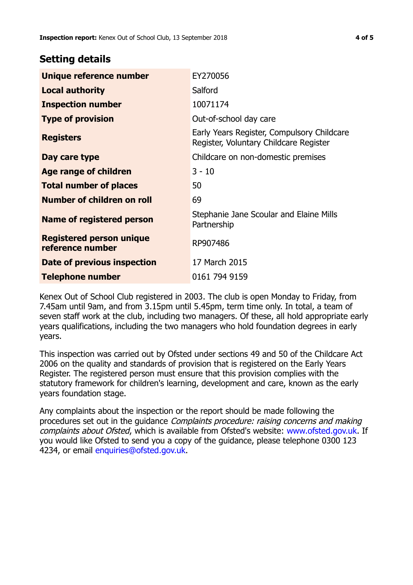## **Setting details**

| Unique reference number                             | EY270056                                                                             |  |
|-----------------------------------------------------|--------------------------------------------------------------------------------------|--|
| <b>Local authority</b>                              | Salford                                                                              |  |
| <b>Inspection number</b>                            | 10071174                                                                             |  |
| <b>Type of provision</b>                            | Out-of-school day care                                                               |  |
| <b>Registers</b>                                    | Early Years Register, Compulsory Childcare<br>Register, Voluntary Childcare Register |  |
| Day care type                                       | Childcare on non-domestic premises                                                   |  |
| Age range of children                               | $3 - 10$                                                                             |  |
| <b>Total number of places</b>                       | 50                                                                                   |  |
| Number of children on roll                          | 69                                                                                   |  |
| Name of registered person                           | Stephanie Jane Scoular and Elaine Mills<br>Partnership                               |  |
| <b>Registered person unique</b><br>reference number | RP907486                                                                             |  |
| Date of previous inspection                         | 17 March 2015                                                                        |  |
| <b>Telephone number</b>                             | 0161 794 9159                                                                        |  |

Kenex Out of School Club registered in 2003. The club is open Monday to Friday, from 7.45am until 9am, and from 3.15pm until 5.45pm, term time only. In total, a team of seven staff work at the club, including two managers. Of these, all hold appropriate early years qualifications, including the two managers who hold foundation degrees in early years.

This inspection was carried out by Ofsted under sections 49 and 50 of the Childcare Act 2006 on the quality and standards of provision that is registered on the Early Years Register. The registered person must ensure that this provision complies with the statutory framework for children's learning, development and care, known as the early years foundation stage.

Any complaints about the inspection or the report should be made following the procedures set out in the guidance Complaints procedure: raising concerns and making complaints about Ofsted, which is available from Ofsted's website: www.ofsted.gov.uk. If you would like Ofsted to send you a copy of the guidance, please telephone 0300 123 4234, or email [enquiries@ofsted.gov.uk.](mailto:enquiries@ofsted.gov.uk)